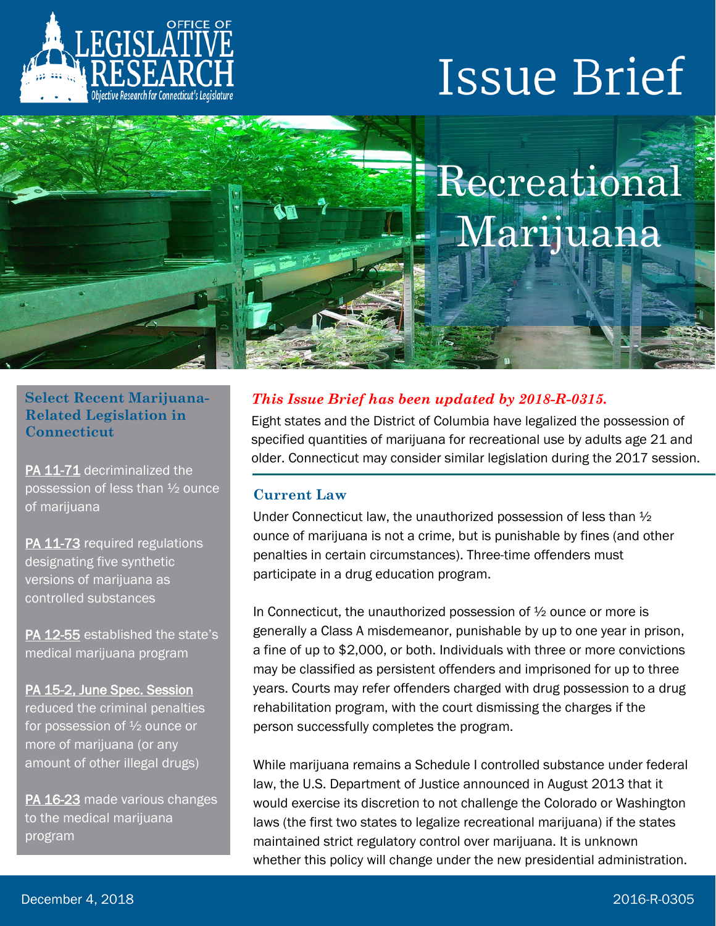

# **Issue Brief**



## **Select Recent Marijuana-Related Legislation in Connecticut**

[PA 11-71](https://www.cga.ct.gov/asp/cgabillstatus/cgabillstatus.asp?selBillType=Public+Act&which_year=2011&bill_num=71) decriminalized the possession of less than ½ ounce of marijuana

[PA 11-73](https://www.cga.ct.gov/asp/cgabillstatus/cgabillstatus.asp?selBillType=Public+Act&which_year=2011&bill_num=73) required regulations designating five synthetic versions of marijuana as controlled substances

[PA 12-55](https://www.cga.ct.gov/asp/cgabillstatus/cgabillstatus.asp?selBillType=Public+Act&which_year=2012&bill_num=55) established the state's medical marijuana program

[PA 15-2, June Spec. Session](https://www.cga.ct.gov/asp/cgabillstatus/CGAbillstatus.asp?selBillType=Bill&bill_num=7104&which_year=2015) reduced the criminal penalties for possession of ½ ounce or more of marijuana (or any amount of other illegal drugs)

[PA 16-23](https://www.cga.ct.gov/asp/cgabillstatus/cgabillstatus.asp?selBillType=Public+Act&which_year=2016&bill_num=23) made various changes to the medical marijuana program

## *This Issue Brief has been updated by 2018-R-0315.*

Eight states and the District of Columbia have legalized the possession of specified quantities of marijuana for recreational use by adults age 21 and older. Connecticut may consider similar legislation during the 2017 session.

## **Current Law**

Under Connecticut law, the unauthorized possession of less than ½ ounce of marijuana is not a crime, but is punishable by fines (and other penalties in certain circumstances). Three-time offenders must participate in a drug education program.

In Connecticut, the unauthorized possession of ½ ounce or more is generally a Class A misdemeanor, punishable by up to one year in prison, a fine of up to \$2,000, or both. Individuals with three or more convictions may be classified as persistent offenders and imprisoned for up to three years. Courts may refer offenders charged with drug possession to a drug rehabilitation program, with the court dismissing the charges if the person successfully completes the program.

While marijuana remains a Schedule I controlled substance under federal law, the U.S. Department of Justice announced in August 2013 that it would exercise its discretion to not challenge the Colorado or Washington laws (the first two states to legalize recreational marijuana) if the states maintained strict regulatory control over marijuana. It is unknown whether this policy will change under the new presidential administration.